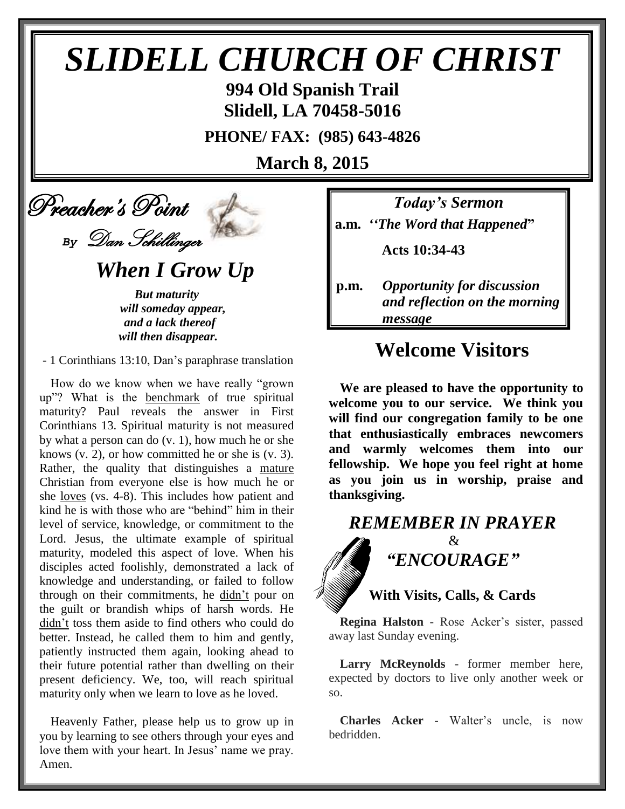# *SLIDELL CHURCH OF CHRIST*

**994 Old Spanish Trail Slidell, LA 70458-5016**

**PHONE/ FAX: (985) 643-4826**

**March 8, 2015**

 Preacher's Point *By* Dan Schillinger

 *When I Grow Up*

*But maturity will someday appear, and a lack thereof will then disappear.*

- 1 Corinthians 13:10, Dan's paraphrase translation

How do we know when we have really "grown up"? What is the benchmark of true spiritual maturity? Paul reveals the answer in First Corinthians 13. Spiritual maturity is not measured by what a person can do (v. 1), how much he or she knows  $(v, 2)$ , or how committed he or she is  $(v, 3)$ . Rather, the quality that distinguishes a mature Christian from everyone else is how much he or she loves (vs. 4-8). This includes how patient and kind he is with those who are "behind" him in their level of service, knowledge, or commitment to the Lord. Jesus, the ultimate example of spiritual maturity, modeled this aspect of love. When his disciples acted foolishly, demonstrated a lack of knowledge and understanding, or failed to follow through on their commitments, he didn't pour on the guilt or brandish whips of harsh words. He didn't toss them aside to find others who could do better. Instead, he called them to him and gently, patiently instructed them again, looking ahead to their future potential rather than dwelling on their present deficiency. We, too, will reach spiritual maturity only when we learn to love as he loved.

Heavenly Father, please help us to grow up in you by learning to see others through your eyes and love them with your heart. In Jesus' name we pray. Amen.

*Today's Sermon* **a.m.** *''The Word that Happened***"**

 **Acts 10:34-43**

**p.m.** *Opportunity for discussion*  *and reflection on the morning message*

# **Welcome Visitors**

**We are pleased to have the opportunity to welcome you to our service. We think you will find our congregation family to be one that enthusiastically embraces newcomers and warmly welcomes them into our fellowship. We hope you feel right at home as you join us in worship, praise and thanksgiving.**

## *REMEMBER IN PRAYER*

 $\mathcal{R}$ *"ENCOURAGE"*

## **With Visits, Calls, & Cards**

**Regina Halston** - Rose Acker's sister, passed away last Sunday evening.

**Larry McReynolds** - former member here, expected by doctors to live only another week or so.

**Charles Acker** - Walter's uncle, is now bedridden.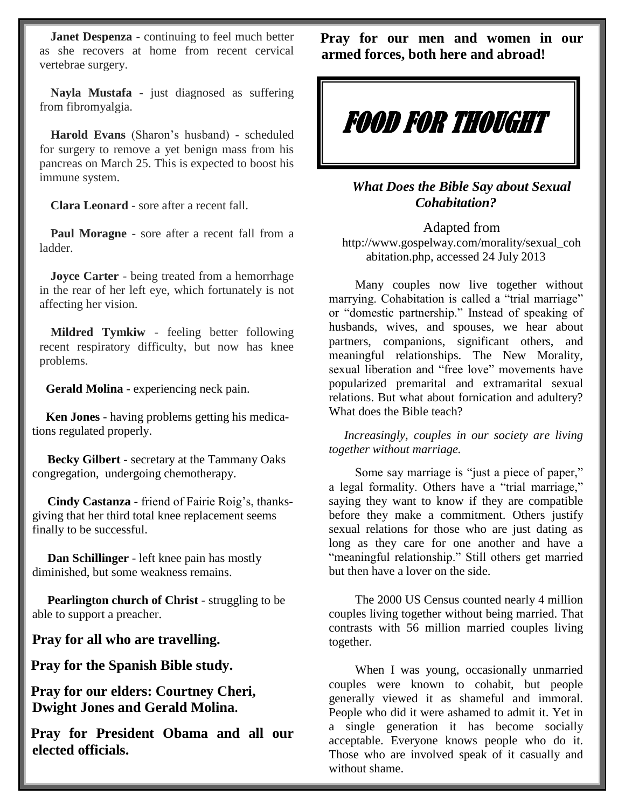**Janet Despenza** - continuing to feel much better as she recovers at home from recent cervical vertebrae surgery.

**Nayla Mustafa** - just diagnosed as suffering from fibromyalgia.

**Harold Evans** (Sharon's husband) - scheduled for surgery to remove a yet benign mass from his pancreas on March 25. This is expected to boost his immune system.

**Clara Leonard** - sore after a recent fall.

**Paul Moragne** - sore after a recent fall from a ladder.

**Joyce Carter** - being treated from a hemorrhage in the rear of her left eye, which fortunately is not affecting her vision.

**Mildred Tymkiw** - feeling better following recent respiratory difficulty, but now has knee problems.

 **Gerald Molina** - experiencing neck pain.

 **Ken Jones** - having problems getting his medications regulated properly.

 **Becky Gilbert** - secretary at the Tammany Oaks congregation, undergoing chemotherapy.

 **Cindy Castanza** - friend of Fairie Roig's, thanksgiving that her third total knee replacement seems finally to be successful.

 **Dan Schillinger** - left knee pain has mostly diminished, but some weakness remains.

 **Pearlington church of Christ** - struggling to be able to support a preacher.

**Pray for all who are travelling.**

**Pray for the Spanish Bible study.**

**Pray for our elders: Courtney Cheri, Dwight Jones and Gerald Molina.**

**Pray for President Obama and all our elected officials.**

**Pray for our men and women in our armed forces, both here and abroad!**



*What Does the Bible Say about Sexual Cohabitation?*

Adapted from http://www.gospelway.com/morality/sexual\_coh abitation.php, accessed 24 July 2013

 Many couples now live together without marrying. Cohabitation is called a "trial marriage" or "domestic partnership." Instead of speaking of husbands, wives, and spouses, we hear about partners, companions, significant others, and meaningful relationships. The New Morality, sexual liberation and "free love" movements have popularized premarital and extramarital sexual relations. But what about fornication and adultery? What does the Bible teach?

 *Increasingly, couples in our society are living together without marriage.*

 Some say marriage is "just a piece of paper," a legal formality. Others have a "trial marriage," saying they want to know if they are compatible before they make a commitment. Others justify sexual relations for those who are just dating as long as they care for one another and have a "meaningful relationship." Still others get married but then have a lover on the side.

 The 2000 US Census counted nearly 4 million couples living together without being married. That contrasts with 56 million married couples living together.

When I was young, occasionally unmarried couples were known to cohabit, but people generally viewed it as shameful and immoral. People who did it were ashamed to admit it. Yet in a single generation it has become socially acceptable. Everyone knows people who do it. Those who are involved speak of it casually and without shame.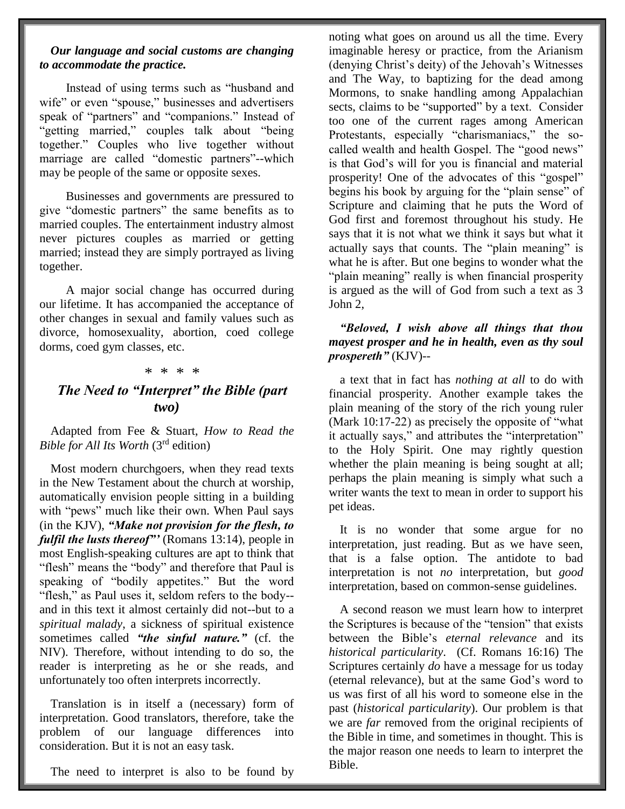#### *Our language and social customs are changing to accommodate the practice.*

 Instead of using terms such as "husband and wife" or even "spouse," businesses and advertisers speak of "partners" and "companions." Instead of "getting married," couples talk about "being together." Couples who live together without marriage are called "domestic partners"--which may be people of the same or opposite sexes.

 Businesses and governments are pressured to give "domestic partners" the same benefits as to married couples. The entertainment industry almost never pictures couples as married or getting married; instead they are simply portrayed as living together.

 A major social change has occurred during our lifetime. It has accompanied the acceptance of other changes in sexual and family values such as divorce, homosexuality, abortion, coed college dorms, coed gym classes, etc.

#### \* \* \* \*

### *The Need to "Interpret" the Bible (part two)*

Adapted from Fee & Stuart, *How to Read the Bible for All Its Worth* (3rd edition)

Most modern churchgoers, when they read texts in the New Testament about the church at worship, automatically envision people sitting in a building with "pews" much like their own. When Paul says (in the KJV), *"Make not provision for the flesh, to fulfil the lusts thereof"'* (Romans 13:14), people in most English-speaking cultures are apt to think that "flesh" means the "body" and therefore that Paul is speaking of "bodily appetites." But the word "flesh," as Paul uses it, seldom refers to the body- and in this text it almost certainly did not--but to a *spiritual malady*, a sickness of spiritual existence sometimes called *"the sinful nature."* (cf. the NIV). Therefore, without intending to do so, the reader is interpreting as he or she reads, and unfortunately too often interprets incorrectly.

Translation is in itself a (necessary) form of interpretation. Good translators, therefore, take the problem of our language differences into consideration. But it is not an easy task.

The need to interpret is also to be found by

noting what goes on around us all the time. Every imaginable heresy or practice, from the Arianism (denying Christ's deity) of the Jehovah's Witnesses and The Way, to baptizing for the dead among Mormons, to snake handling among Appalachian sects, claims to be "supported" by a text. Consider too one of the current rages among American Protestants, especially "charismaniacs," the socalled wealth and health Gospel. The "good news" is that God's will for you is financial and material prosperity! One of the advocates of this "gospel" begins his book by arguing for the "plain sense" of Scripture and claiming that he puts the Word of God first and foremost throughout his study. He says that it is not what we think it says but what it actually says that counts. The "plain meaning" is what he is after. But one begins to wonder what the "plain meaning" really is when financial prosperity is argued as the will of God from such a text as 3 John 2,

#### *"Beloved, I wish above all things that thou mayest prosper and he in health, even as thy soul prospereth"* (KJV)--

a text that in fact has *nothing at all* to do with financial prosperity. Another example takes the plain meaning of the story of the rich young ruler (Mark 10:17-22) as precisely the opposite of "what it actually says," and attributes the "interpretation" to the Holy Spirit. One may rightly question whether the plain meaning is being sought at all; perhaps the plain meaning is simply what such a writer wants the text to mean in order to support his pet ideas.

It is no wonder that some argue for no interpretation, just reading. But as we have seen, that is a false option. The antidote to bad interpretation is not *no* interpretation, but *good* interpretation, based on common-sense guidelines.

A second reason we must learn how to interpret the Scriptures is because of the "tension" that exists between the Bible's *eternal relevance* and its *historical particularity*. (Cf. Romans 16:16) The Scriptures certainly *do* have a message for us today (eternal relevance), but at the same God's word to us was first of all his word to someone else in the past (*historical particularity*). Our problem is that we are *far* removed from the original recipients of the Bible in time, and sometimes in thought. This is the major reason one needs to learn to interpret the Bible.